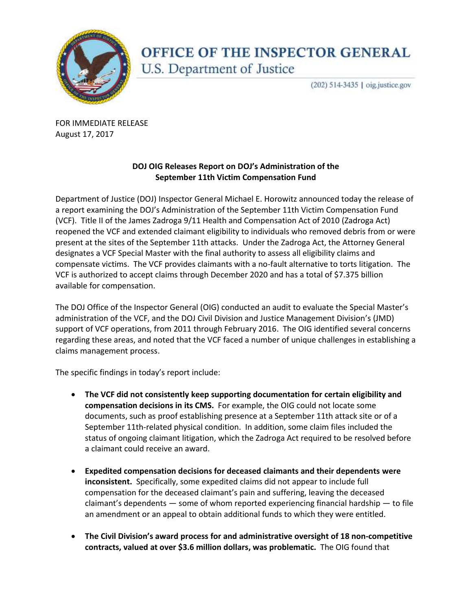

## OFFICE OF THE INSPECTOR GENERAL U.S. Department of Justice

(202) 514-3435 | oig.justice.gov

 FOR IMMEDIATE RELEASE August 17, 2017

## **DOJ OIG Releases Report on DOJ's !dministration of the September 11th Victim Compensation Fund**

a report examining the DOJ's Administration of the September 11th Victim Compensation Fund (VCF). Title II of the James Zadroga 9/11 Health and Compensation Act of 2010 (Zadroga Act) reopened the VCF and extended claimant eligibility to individuals who removed debris from or were present at the sites of the September 11th attacks. Under the Zadroga Act, the Attorney General designates a VCF Special Master with the final authority to assess all eligibility claims and compensate victims. The VCF provides claimants with a no-fault alternative to torts litigation. The VCF is authorized to accept claims through December 2020 and has a total of \$7.375 billion Department of Justice (DOJ) Inspector General Michael E. Horowitz announced today the release of available for compensation.

 The DOJ Office of the Inspector General (OIG) conducted an audit to evaluate the Special Master's administration of the VCF, and the DOJ Civil Division and Justice Management Division's (JMD) support of VCF operations, from 2011 through February 2016. The OIG identified several concerns regarding these areas, and noted that the VCF faced a number of unique challenges in establishing a claims management process.

The specific findings in today's report include:

- **The VCF did not consistently keep supporting documentation for certain eligibility and compensation decisions in its CMS.** For example, the OIG could not locate some documents, such as proof establishing presence at a September 11th attack site or of a September 11th-related physical condition. In addition, some claim files included the a claimant could receive an award. status of ongoing claimant litigation, which the Zadroga Act required to be resolved before
- **Expedited compensation decisions for deceased claimants and their dependents were inconsistent.** Specifically, some expedited claims did not appear to include full compensation for the deceased claimant's pain and suffering, leaving the deceased claimant's dependents — some of whom reported experiencing financial hardship — to file an amendment or an appeal to obtain additional funds to which they were entitled.
- **The Civil Division's award process for and administrative oversight of 18 non-competitive contracts, valued at over \$3.6 million dollars, was problematic.** The OIG found that